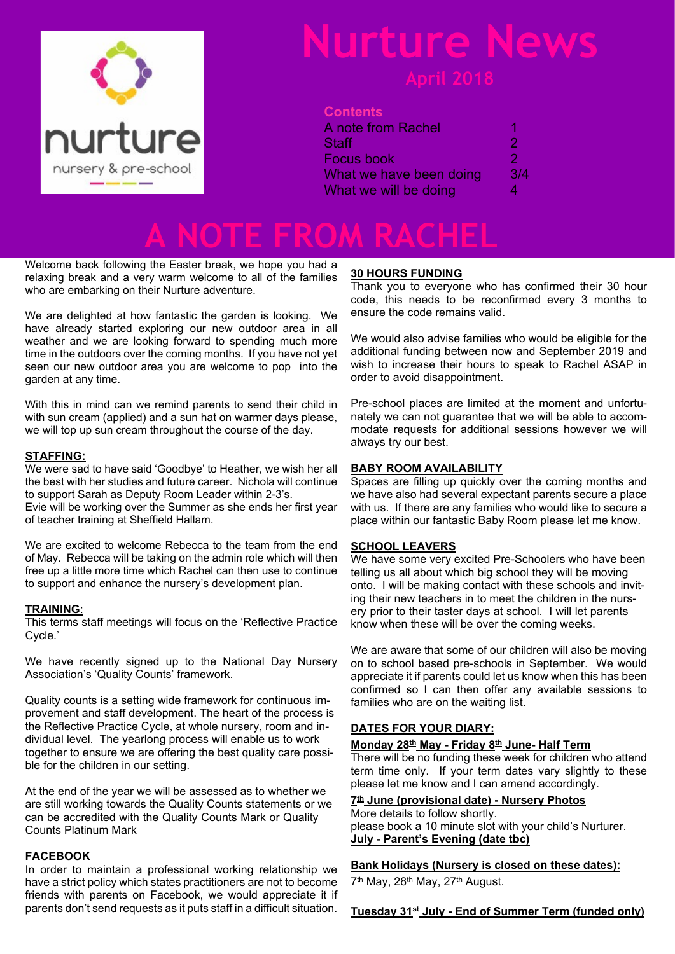

## **Nurture News**

#### **Contents**

| A note from Rachel      |     |
|-------------------------|-----|
| Staff                   | 2   |
| Focus book              | 2   |
| What we have been doing | 3/4 |
| What we will be doing   | 4   |

## **A NOTE FROM RACHEL**

Welcome back following the Easter break, we hope you had a relaxing break and a very warm welcome to all of the families who are embarking on their Nurture adventure.

We are delighted at how fantastic the garden is looking. We have already started exploring our new outdoor area in all weather and we are looking forward to spending much more time in the outdoors over the coming months. If you have not yet seen our new outdoor area you are welcome to pop into the garden at any time.

With this in mind can we remind parents to send their child in with sun cream (applied) and a sun hat on warmer days please, we will top up sun cream throughout the course of the day.

#### **STAFFING:**

We were sad to have said 'Goodbye' to Heather, we wish her all the best with her studies and future career. Nichola will continue to support Sarah as Deputy Room Leader within 2-3's. Evie will be working over the Summer as she ends her first year of teacher training at Sheffield Hallam.

We are excited to welcome Rebecca to the team from the end of May. Rebecca will be taking on the admin role which will then free up a little more time which Rachel can then use to continue to support and enhance the nursery's development plan.

#### **TRAINING**:

This terms staff meetings will focus on the 'Reflective Practice Cycle.'

We have recently signed up to the National Day Nursery Association's 'Quality Counts' framework.

Quality counts is a setting wide framework for continuous improvement and staff development. The heart of the process is the Reflective Practice Cycle, at whole nursery, room and individual level. The yearlong process will enable us to work together to ensure we are offering the best quality care possible for the children in our setting.

At the end of the year we will be assessed as to whether we are still working towards the Quality Counts statements or we can be accredited with the Quality Counts Mark or Quality Counts Platinum Mark

#### **FACEBOOK**

In order to maintain a professional working relationship we have a strict policy which states practitioners are not to become friends with parents on Facebook, we would appreciate it if parents don't send requests as it puts staff in a difficult situation.

#### **30 HOURS FUNDING**

Thank you to everyone who has confirmed their 30 hour code, this needs to be reconfirmed every 3 months to ensure the code remains valid.

We would also advise families who would be eligible for the additional funding between now and September 2019 and wish to increase their hours to speak to Rachel ASAP in order to avoid disappointment.

Pre-school places are limited at the moment and unfortunately we can not guarantee that we will be able to accommodate requests for additional sessions however we will always try our best.

#### **BABY ROOM AVAILABILITY**

Spaces are filling up quickly over the coming months and we have also had several expectant parents secure a place with us. If there are any families who would like to secure a place within our fantastic Baby Room please let me know.

#### **SCHOOL LEAVERS**

We have some very excited Pre-Schoolers who have been telling us all about which big school they will be moving onto. I will be making contact with these schools and inviting their new teachers in to meet the children in the nursery prior to their taster days at school. I will let parents know when these will be over the coming weeks.

We are aware that some of our children will also be moving on to school based pre-schools in September. We would appreciate it if parents could let us know when this has been confirmed so I can then offer any available sessions to families who are on the waiting list.

#### **DATES FOR YOUR DIARY:**

#### **Monday 28th May - Friday 8th June- Half Term**

There will be no funding these week for children who attend term time only. If your term dates vary slightly to these please let me know and I can amend accordingly.

#### **7 th June (provisional date) - Nursery Photos**

More details to follow shortly. please book a 10 minute slot with your child's Nurturer. **July - Parent's Evening (date tbc)**

#### **Bank Holidays (Nursery is closed on these dates):**

7<sup>th</sup> May, 28<sup>th</sup> May, 27<sup>th</sup> August.

#### **Tuesday 31st July - End of Summer Term (funded only)**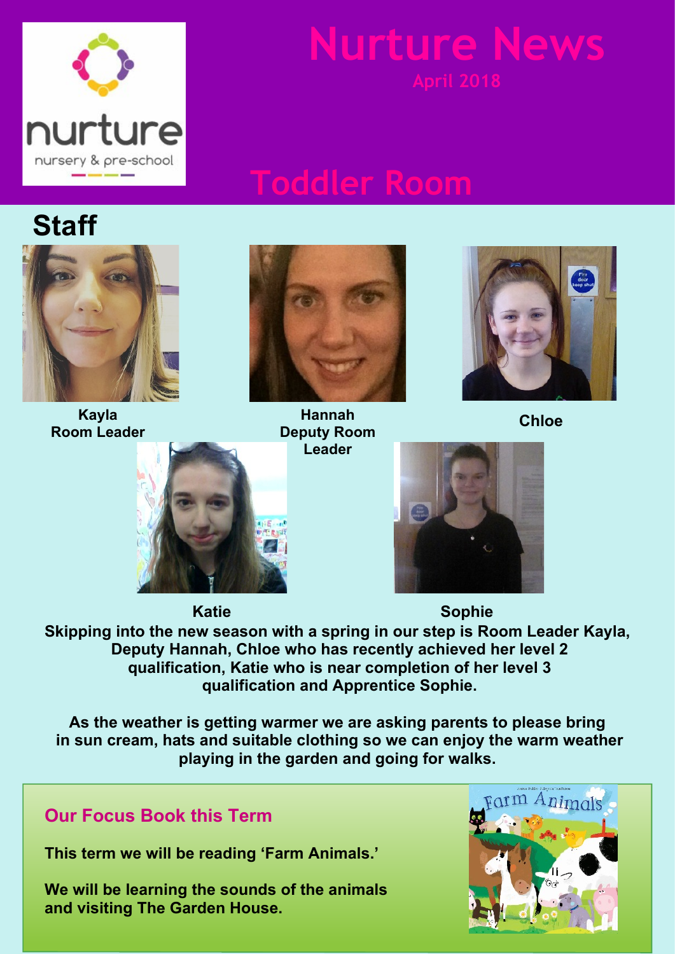

**Nurture New** 

## **Toddler Room**

## **Staff**



**Kayla Room Leader**



**Hannah Deputy Room Leader**



**Chloe**





**Skipping into the new season with a spring in our step is Room Leader Kayla, Deputy Hannah, Chloe who has recently achieved her level 2 qualification, Katie who is near completion of her level 3 qualification and Apprentice Sophie. Katie Sophie**

**As the weather is getting warmer we are asking parents to please bring in sun cream, hats and suitable clothing so we can enjoy the warm weather playing in the garden and going for walks.**

### **Our Focus Book this Term**

**This term we will be reading 'Farm Animals.'**

**We will be learning the sounds of the animals and visiting The Garden House.**

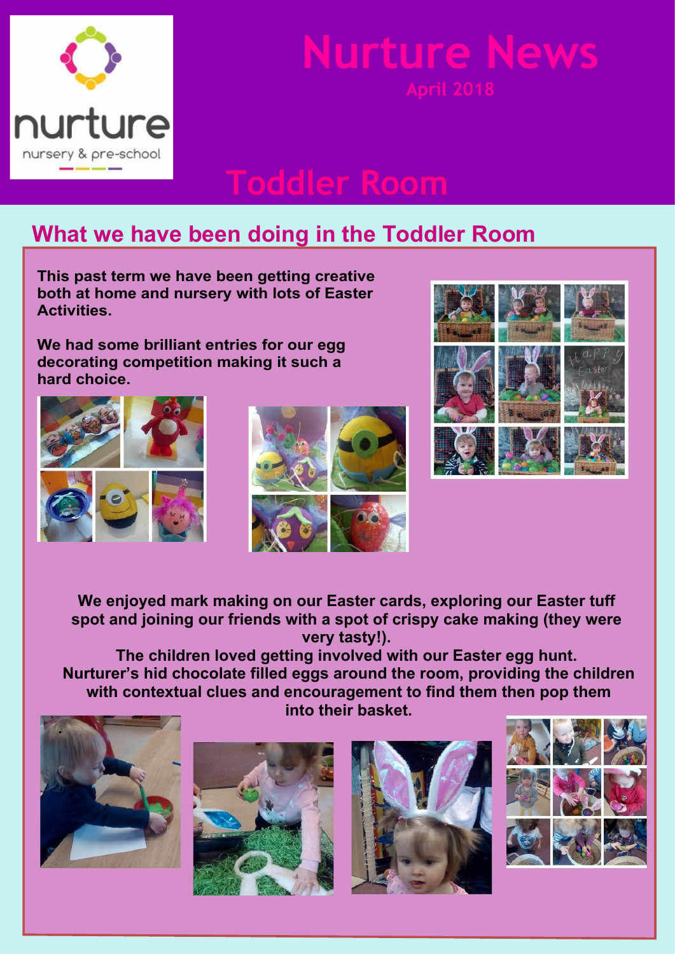

## **Nurture New**

## **Toddler Room**

### **What we have been doing in the Toddler Room**

**This past term we have been getting creative both at home and nursery with lots of Easter Activities.**

**We had some brilliant entries for our egg decorating competition making it such a hard choice.**







**We enjoyed mark making on our Easter cards, exploring our Easter tuff spot and joining our friends with a spot of crispy cake making (they were very tasty!).**

**The children loved getting involved with our Easter egg hunt. Nurturer's hid chocolate filled eggs around the room, providing the children with contextual clues and encouragement to find them then pop them into their basket.**